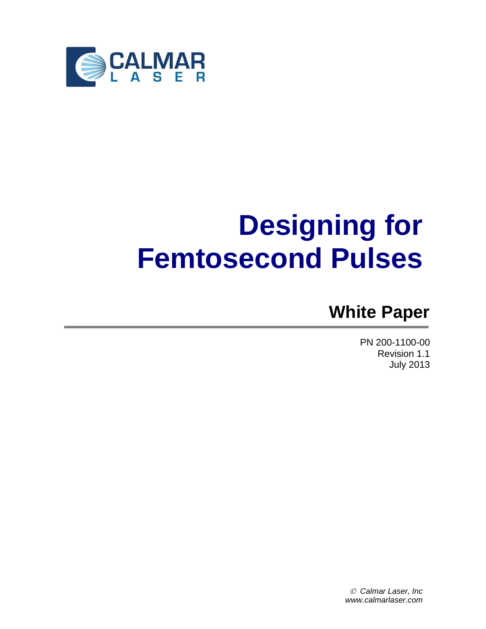

# **Designing for Femtosecond Pulses**

## **White Paper**

PN 200-1100-00 Revision 1.1 July 2013

 *Calmar Laser, Inc www.calmarlaser.com*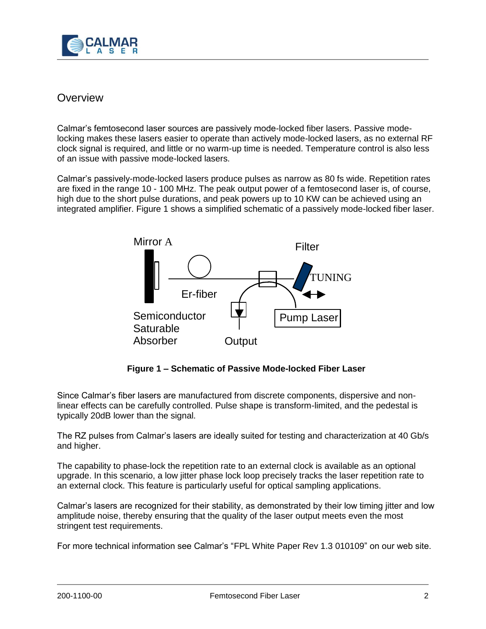

## **Overview**

Calmar's femtosecond laser sources are passively mode-locked fiber lasers. Passive modelocking makes these lasers easier to operate than actively mode-locked lasers, as no external RF clock signal is required, and little or no warm-up time is needed. Temperature control is also less of an issue with passive mode-locked lasers.

Calmar's passively-mode-locked lasers produce pulses as narrow as 80 fs wide. Repetition rates are fixed in the range 10 - 100 MHz. The peak output power of a femtosecond laser is, of course, high due to the short pulse durations, and peak powers up to 10 KW can be achieved using an integrated amplifier. Figure 1 shows a simplified schematic of a passively mode-locked fiber laser.



**Figure 1 – Schematic of Passive Mode-locked Fiber Laser** 

Since Calmar's fiber lasers are manufactured from discrete components, dispersive and nonlinear effects can be carefully controlled. Pulse shape is transform-limited, and the pedestal is typically 20dB lower than the signal.

The RZ pulses from Calmar's lasers are ideally suited for testing and characterization at 40 Gb/s and higher.

The capability to phase-lock the repetition rate to an external clock is available as an optional upgrade. In this scenario, a low jitter phase lock loop precisely tracks the laser repetition rate to an external clock. This feature is particularly useful for optical sampling applications.

Calmar's lasers are recognized for their stability, as demonstrated by their low timing jitter and low amplitude noise, thereby ensuring that the quality of the laser output meets even the most stringent test requirements.

For more technical information see Calmar's "FPL White Paper Rev 1.3 010109" on our web site.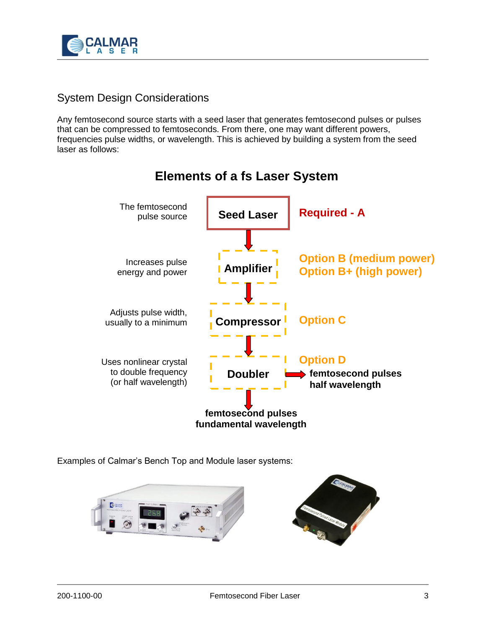

## System Design Considerations

Any femtosecond source starts with a seed laser that generates femtosecond pulses or pulses that can be compressed to femtoseconds. From there, one may want different powers, frequencies pulse widths, or wavelength. This is achieved by building a system from the seed laser as follows:



## **Elements of a fs Laser System**

Examples of Calmar's Bench Top and Module laser systems:

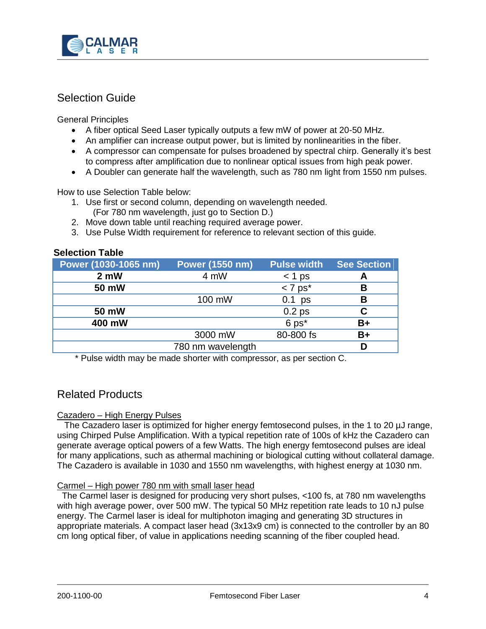

## Selection Guide

General Principles

- A fiber optical Seed Laser typically outputs a few mW of power at 20-50 MHz.
- An amplifier can increase output power, but is limited by nonlinearities in the fiber.
- A compressor can compensate for pulses broadened by spectral chirp. Generally it's best to compress after amplification due to nonlinear optical issues from high peak power.
- A Doubler can generate half the wavelength, such as 780 nm light from 1550 nm pulses.

How to use Selection Table below:

- 1. Use first or second column, depending on wavelength needed. (For 780 nm wavelength, just go to Section D.)
- 2. Move down table until reaching required average power.
- 3. Use Pulse Width requirement for reference to relevant section of this guide.

#### **Selection Table**

| Power (1030-1065 nm) | <b>Power (1550 nm)</b> | <b>Pulse width</b>    | <b>See Section</b> |
|----------------------|------------------------|-----------------------|--------------------|
| 2 <sub>m</sub>       | 4 mW                   | $<$ 1 ps              | A                  |
| 50 mW                |                        | $< 7$ ps <sup>*</sup> | в                  |
|                      | 100 mW                 | $0.1$ ps              | В                  |
| 50 mW                |                        | 0.2 <sub>ps</sub>     |                    |
| 400 mW               |                        | $6$ ps $*$            | B+                 |
|                      | 3000 mW                | 80-800 fs             | $B+$               |
|                      | 780 nm wavelength      |                       |                    |

\* Pulse width may be made shorter with compressor, as per section C.

### Related Products

#### Cazadero – High Energy Pulses

 The Cazadero laser is optimized for higher energy femtosecond pulses, in the 1 to 20 µJ range, using Chirped Pulse Amplification. With a typical repetition rate of 100s of kHz the Cazadero can generate average optical powers of a few Watts. The high energy femtosecond pulses are ideal for many applications, such as athermal machining or biological cutting without collateral damage. The Cazadero is available in 1030 and 1550 nm wavelengths, with highest energy at 1030 nm.

#### Carmel – High power 780 nm with small laser head

 The Carmel laser is designed for producing very short pulses, <100 fs, at 780 nm wavelengths with high average power, over 500 mW. The typical 50 MHz repetition rate leads to 10 nJ pulse energy. The Carmel laser is ideal for multiphoton imaging and generating 3D structures in appropriate materials. A compact laser head (3x13x9 cm) is connected to the controller by an 80 cm long optical fiber, of value in applications needing scanning of the fiber coupled head.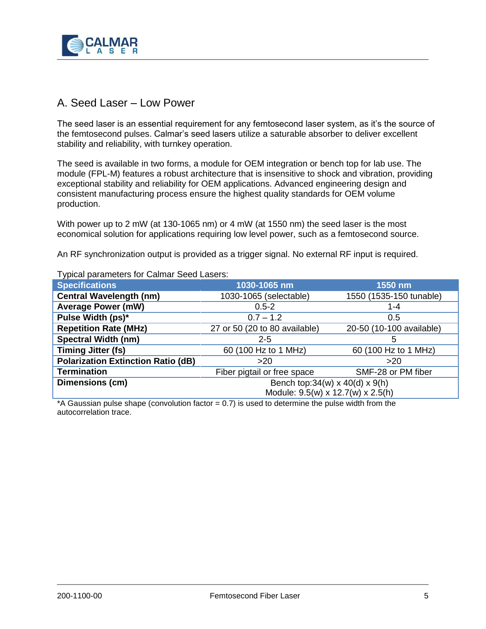

#### A. Seed Laser – Low Power

The seed laser is an essential requirement for any femtosecond laser system, as it's the source of the femtosecond pulses. Calmar's seed lasers utilize a saturable absorber to deliver excellent stability and reliability, with turnkey operation.

The seed is available in two forms, a module for OEM integration or bench top for lab use. The module (FPL-M) features a robust architecture that is insensitive to shock and vibration, providing exceptional stability and reliability for OEM applications. Advanced engineering design and consistent manufacturing process ensure the highest quality standards for OEM volume production.

With power up to 2 mW (at 130-1065 nm) or 4 mW (at 1550 nm) the seed laser is the most economical solution for applications requiring low level power, such as a femtosecond source.

An RF synchronization output is provided as a trigger signal. No external RF input is required.

| <b>Specifications</b>                     | 1030-1065 nm                                | 1550 nm                  |
|-------------------------------------------|---------------------------------------------|--------------------------|
| <b>Central Wavelength (nm)</b>            | 1030-1065 (selectable)                      | 1550 (1535-150 tunable)  |
| <b>Average Power (mW)</b>                 | $0.5 - 2$                                   | $1 - 4$                  |
| Pulse Width (ps)*                         | $0.7 - 1.2$                                 | 0.5                      |
| <b>Repetition Rate (MHz)</b>              | 27 or 50 (20 to 80 available)               | 20-50 (10-100 available) |
| <b>Spectral Width (nm)</b>                | $2 - 5$                                     | 5                        |
| <b>Timing Jitter (fs)</b>                 | 60 (100 Hz to 1 MHz)                        | 60 (100 Hz to 1 MHz)     |
| <b>Polarization Extinction Ratio (dB)</b> | >20                                         | >20                      |
| <b>Termination</b>                        | Fiber pigtail or free space                 | SMF-28 or PM fiber       |
| Dimensions (cm)                           | Bench top: $34(w) \times 40(d) \times 9(h)$ |                          |
|                                           | Module: 9.5(w) x 12.7(w) x 2.5(h)           |                          |

Typical parameters for Calmar Seed Lasers:

\*A Gaussian pulse shape (convolution factor = 0.7) is used to determine the pulse width from the autocorrelation trace.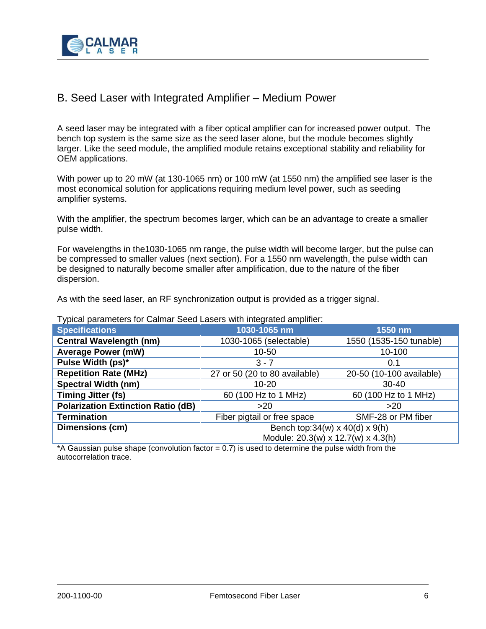

## B. Seed Laser with Integrated Amplifier – Medium Power

A seed laser may be integrated with a fiber optical amplifier can for increased power output. The bench top system is the same size as the seed laser alone, but the module becomes slightly larger. Like the seed module, the amplified module retains exceptional stability and reliability for OEM applications.

With power up to 20 mW (at 130-1065 nm) or 100 mW (at 1550 nm) the amplified see laser is the most economical solution for applications requiring medium level power, such as seeding amplifier systems.

With the amplifier, the spectrum becomes larger, which can be an advantage to create a smaller pulse width.

For wavelengths in the1030-1065 nm range, the pulse width will become larger, but the pulse can be compressed to smaller values (next section). For a 1550 nm wavelength, the pulse width can be designed to naturally become smaller after amplification, due to the nature of the fiber dispersion.

As with the seed laser, an RF synchronization output is provided as a trigger signal.

Typical parameters for Calmar Seed Lasers with integrated amplifier:

| .                                         |                                             |                          |
|-------------------------------------------|---------------------------------------------|--------------------------|
| <b>Specifications</b>                     | 1030-1065 nm                                | 1550 nm                  |
| <b>Central Wavelength (nm)</b>            | 1030-1065 (selectable)                      | 1550 (1535-150 tunable)  |
| <b>Average Power (mW)</b>                 | 10-50                                       | 10-100                   |
| Pulse Width (ps)*                         | $3 - 7$                                     | 0.1                      |
| <b>Repetition Rate (MHz)</b>              | 27 or 50 (20 to 80 available)               | 20-50 (10-100 available) |
| <b>Spectral Width (nm)</b>                | $10 - 20$                                   | $30 - 40$                |
| <b>Timing Jitter (fs)</b>                 | 60 (100 Hz to 1 MHz)                        | 60 (100 Hz to 1 MHz)     |
| <b>Polarization Extinction Ratio (dB)</b> | >20                                         | >20                      |
| <b>Termination</b>                        | Fiber pigtail or free space                 | SMF-28 or PM fiber       |
| Dimensions (cm)                           | Bench top: $34(w) \times 40(d) \times 9(h)$ |                          |
|                                           | Module: 20.3(w) x 12.7(w) x 4.3(h)          |                          |

\*A Gaussian pulse shape (convolution factor = 0.7) is used to determine the pulse width from the autocorrelation trace.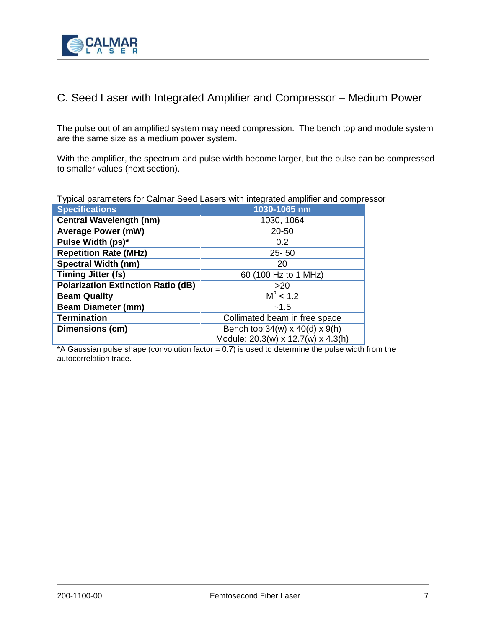

## C. Seed Laser with Integrated Amplifier and Compressor – Medium Power

The pulse out of an amplified system may need compression. The bench top and module system are the same size as a medium power system.

With the amplifier, the spectrum and pulse width become larger, but the pulse can be compressed to smaller values (next section).

Typical parameters for Calmar Seed Lasers with integrated amplifier and compressor

| <b>Specifications</b>                     | 1030-1065 nm                                |  |
|-------------------------------------------|---------------------------------------------|--|
| <b>Central Wavelength (nm)</b>            | 1030, 1064                                  |  |
| <b>Average Power (mW)</b>                 | 20-50                                       |  |
| Pulse Width (ps)*                         | 0.2                                         |  |
| <b>Repetition Rate (MHz)</b>              | $25 - 50$                                   |  |
| <b>Spectral Width (nm)</b>                | 20                                          |  |
| <b>Timing Jitter (fs)</b>                 | 60 (100 Hz to 1 MHz)                        |  |
| <b>Polarization Extinction Ratio (dB)</b> | >20                                         |  |
| <b>Beam Quality</b>                       | $M^2$ < 1.2                                 |  |
| <b>Beam Diameter (mm)</b>                 | $-1.5$                                      |  |
| <b>Termination</b>                        | Collimated beam in free space               |  |
| Dimensions (cm)                           | Bench top: $34(w) \times 40(d) \times 9(h)$ |  |
|                                           | Module: 20.3(w) x 12.7(w) x 4.3(h)          |  |

\*A Gaussian pulse shape (convolution factor  $= 0.7$ ) is used to determine the pulse width from the autocorrelation trace.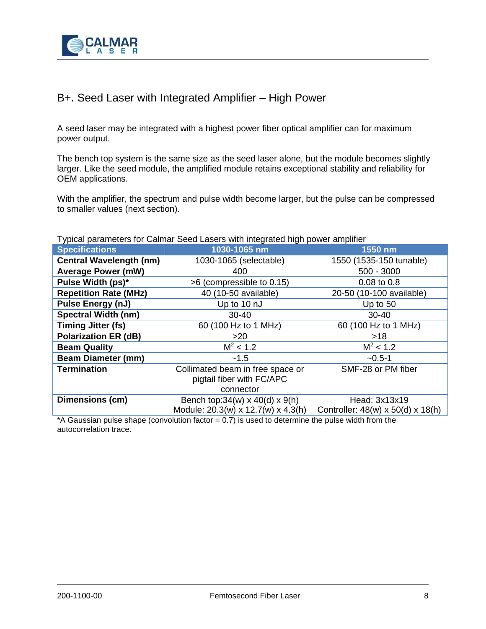

## B+. Seed Laser with Integrated Amplifier – High Power

A seed laser may be integrated with a highest power fiber optical amplifier can for maximum power output.

The bench top system is the same size as the seed laser alone, but the module becomes slightly larger. Like the seed module, the amplified module retains exceptional stability and reliability for OEM applications.

With the amplifier, the spectrum and pulse width become larger, but the pulse can be compressed to smaller values (next section).

Typical parameters for Calmar Seed Lasers with integrated high power amplifier

| <b>Specifications</b>          | 1030-1065 nm                                | 1550 nm                                       |
|--------------------------------|---------------------------------------------|-----------------------------------------------|
| <b>Central Wavelength (nm)</b> | 1030-1065 (selectable)                      | 1550 (1535-150 tunable)                       |
| <b>Average Power (mW)</b>      | 400                                         | $500 - 3000$                                  |
| Pulse Width (ps)*              | >6 (compressible to 0.15)                   | 0.08 to 0.8                                   |
| <b>Repetition Rate (MHz)</b>   | 40 (10-50 available)                        | 20-50 (10-100 available)                      |
| Pulse Energy (nJ)              | Up to 10 nJ                                 | Up to 50                                      |
| <b>Spectral Width (nm)</b>     | $30 - 40$                                   | $30 - 40$                                     |
| <b>Timing Jitter (fs)</b>      | 60 (100 Hz to 1 MHz)                        | 60 (100 Hz to 1 MHz)                          |
| <b>Polarization ER (dB)</b>    | >20                                         | $>18$                                         |
| <b>Beam Quality</b>            | $\overline{M}^2$ < 1.2                      | $M^2$ < 1.2                                   |
| <b>Beam Diameter (mm)</b>      | $-1.5$                                      | $-0.5-1$                                      |
| <b>Termination</b>             | Collimated beam in free space or            | SMF-28 or PM fiber                            |
|                                | pigtail fiber with FC/APC                   |                                               |
|                                | connector                                   |                                               |
| Dimensions (cm)                | Bench top: $34(w) \times 40(d) \times 9(h)$ | Head: 3x13x19                                 |
|                                | Module: 20.3(w) x 12.7(w) x 4.3(h)          | Controller: $48(w) \times 50(d) \times 18(h)$ |

\*A Gaussian pulse shape (convolution factor  $= 0.7$ ) is used to determine the pulse width from the autocorrelation trace.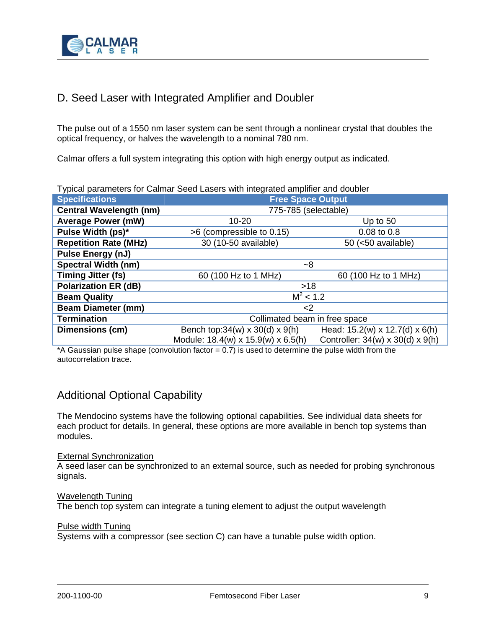

## D. Seed Laser with Integrated Amplifier and Doubler

The pulse out of a 1550 nm laser system can be sent through a nonlinear crystal that doubles the optical frequency, or halves the wavelength to a nominal 780 nm.

Calmar offers a full system integrating this option with high energy output as indicated.

| l ypical parameters for Calmar Seed Lasers with integrated amplifier and doubler |                                             |                                            |  |
|----------------------------------------------------------------------------------|---------------------------------------------|--------------------------------------------|--|
| <b>Specifications</b>                                                            | <b>Free Space Output</b>                    |                                            |  |
| <b>Central Wavelength (nm)</b>                                                   | 775-785 (selectable)                        |                                            |  |
| <b>Average Power (mW)</b>                                                        | $10 - 20$                                   | Up to $50$                                 |  |
| Pulse Width (ps)*                                                                | >6 (compressible to 0.15)                   | 0.08 to 0.8                                |  |
| <b>Repetition Rate (MHz)</b>                                                     | 30 (10-50 available)                        | 50 (<50 available)                         |  |
| Pulse Energy (nJ)                                                                |                                             |                                            |  |
| <b>Spectral Width (nm)</b>                                                       | ~8                                          |                                            |  |
| <b>Timing Jitter (fs)</b>                                                        | 60 (100 Hz to 1 MHz)                        | 60 (100 Hz to 1 MHz)                       |  |
| <b>Polarization ER (dB)</b>                                                      | >18                                         |                                            |  |
| <b>Beam Quality</b>                                                              | $\overline{M}^2$ < 1.2                      |                                            |  |
| <b>Beam Diameter (mm)</b>                                                        | <2                                          |                                            |  |
| <b>Termination</b>                                                               | Collimated beam in free space               |                                            |  |
| <b>Dimensions (cm)</b>                                                           | Bench top: $34(w) \times 30(d) \times 9(h)$ | Head: $15.2(w) \times 12.7(d) \times 6(h)$ |  |
|                                                                                  | Module: 18.4(w) x 15.9(w) x 6.5(h)          | Controller: 34(w) x 30(d) x 9(h)           |  |

Typical parameters for Calmar Seed Lasers with integrated amplifier and doubler

\*A Gaussian pulse shape (convolution factor = 0.7) is used to determine the pulse width from the autocorrelation trace.

## Additional Optional Capability

The Mendocino systems have the following optional capabilities. See individual data sheets for each product for details. In general, these options are more available in bench top systems than modules.

#### External Synchronization

A seed laser can be synchronized to an external source, such as needed for probing synchronous signals.

#### Wavelength Tuning

The bench top system can integrate a tuning element to adjust the output wavelength

#### Pulse width Tuning

Systems with a compressor (see section C) can have a tunable pulse width option.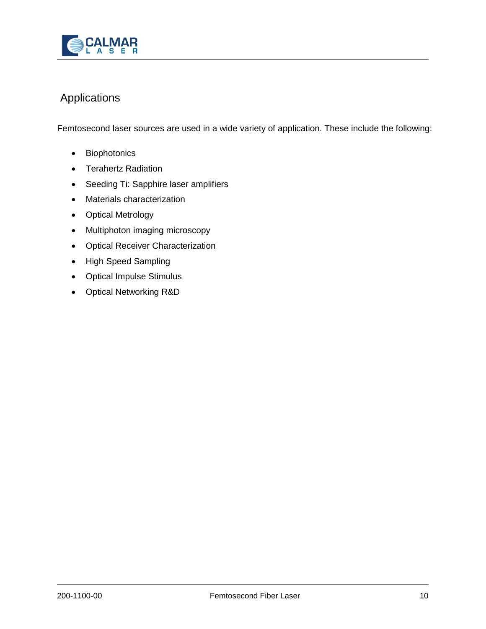

## Applications

Femtosecond laser sources are used in a wide variety of application. These include the following:

- Biophotonics
- Terahertz Radiation
- Seeding Ti: Sapphire laser amplifiers
- Materials characterization
- Optical Metrology
- Multiphoton imaging microscopy
- Optical Receiver Characterization
- High Speed Sampling
- Optical Impulse Stimulus
- Optical Networking R&D